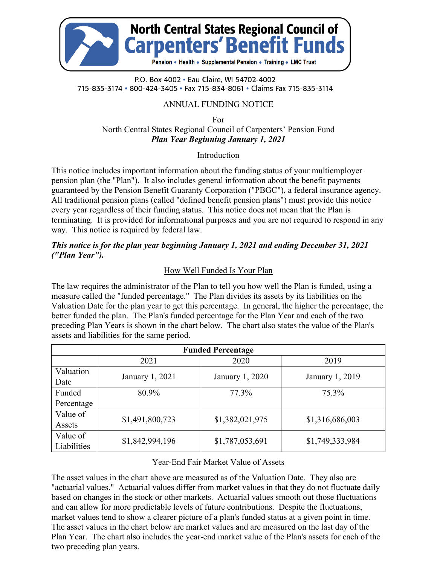

#### P.O. Box 4002 · Eau Claire, WI 54702-4002 715-835-3174 · 800-424-3405 · Fax 715-834-8061 · Claims Fax 715-835-3114

# ANNUAL FUNDING NOTICE

For

North Central States Regional Council of Carpenters' Pension Fund *Plan Year Beginning January 1, 2021* 

# Introduction

This notice includes important information about the funding status of your multiemployer pension plan (the "Plan"). It also includes general information about the benefit payments guaranteed by the Pension Benefit Guaranty Corporation ("PBGC"), a federal insurance agency. All traditional pension plans (called "defined benefit pension plans") must provide this notice every year regardless of their funding status. This notice does not mean that the Plan is terminating. It is provided for informational purposes and you are not required to respond in any way. This notice is required by federal law.

#### *This notice is for the plan year beginning January 1, 2021 and ending December 31, 2021 ("Plan Year").*

# How Well Funded Is Your Plan

The law requires the administrator of the Plan to tell you how well the Plan is funded, using a measure called the "funded percentage." The Plan divides its assets by its liabilities on the Valuation Date for the plan year to get this percentage. In general, the higher the percentage, the better funded the plan. The Plan's funded percentage for the Plan Year and each of the two preceding Plan Years is shown in the chart below. The chart also states the value of the Plan's assets and liabilities for the same period.

| <b>Funded Percentage</b> |                 |                 |                 |  |  |
|--------------------------|-----------------|-----------------|-----------------|--|--|
|                          | 2021            | 2020            | 2019            |  |  |
| Valuation<br>Date        | January 1, 2021 | January 1, 2020 | January 1, 2019 |  |  |
| Funded                   | 80.9%           | 77.3%           | 75.3%           |  |  |
| Percentage               |                 |                 |                 |  |  |
| Value of                 | \$1,491,800,723 | \$1,382,021,975 | \$1,316,686,003 |  |  |
| Assets                   |                 |                 |                 |  |  |
| Value of<br>Liabilities  | \$1,842,994,196 | \$1,787,053,691 | \$1,749,333,984 |  |  |

# Year-End Fair Market Value of Assets

The asset values in the chart above are measured as of the Valuation Date. They also are "actuarial values." Actuarial values differ from market values in that they do not fluctuate daily based on changes in the stock or other markets. Actuarial values smooth out those fluctuations and can allow for more predictable levels of future contributions. Despite the fluctuations, market values tend to show a clearer picture of a plan's funded status at a given point in time. The asset values in the chart below are market values and are measured on the last day of the Plan Year. The chart also includes the year-end market value of the Plan's assets for each of the two preceding plan years.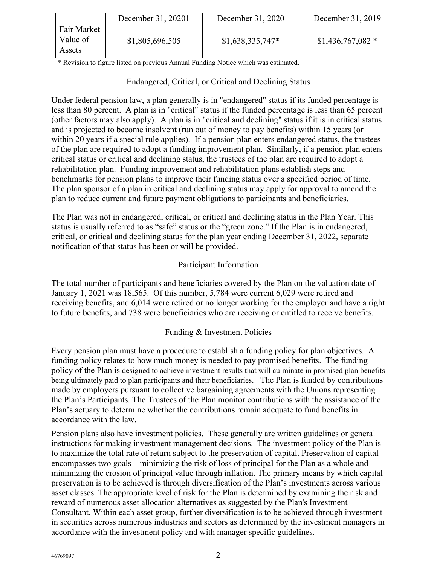|                                   | December 31, 20201 | December 31, 2020 | December 31, 2019  |
|-----------------------------------|--------------------|-------------------|--------------------|
| Fair Market<br>Value of<br>Assets | \$1,805,696,505    | $$1,638,335,747*$ | $$1,436,767,082$ * |

\* Revision to figure listed on previous Annual Funding Notice which was estimated.

#### Endangered, Critical, or Critical and Declining Status

Under federal pension law, a plan generally is in "endangered" status if its funded percentage is less than 80 percent. A plan is in "critical" status if the funded percentage is less than 65 percent (other factors may also apply). A plan is in "critical and declining" status if it is in critical status and is projected to become insolvent (run out of money to pay benefits) within 15 years (or within 20 years if a special rule applies). If a pension plan enters endangered status, the trustees of the plan are required to adopt a funding improvement plan. Similarly, if a pension plan enters critical status or critical and declining status, the trustees of the plan are required to adopt a rehabilitation plan. Funding improvement and rehabilitation plans establish steps and benchmarks for pension plans to improve their funding status over a specified period of time. The plan sponsor of a plan in critical and declining status may apply for approval to amend the plan to reduce current and future payment obligations to participants and beneficiaries.

The Plan was not in endangered, critical, or critical and declining status in the Plan Year. This status is usually referred to as "safe" status or the "green zone." If the Plan is in endangered, critical, or critical and declining status for the plan year ending December 31, 2022, separate notification of that status has been or will be provided.

# Participant Information

The total number of participants and beneficiaries covered by the Plan on the valuation date of January 1, 2021 was 18,565. Of this number, 5,784 were current 6,029 were retired and receiving benefits, and 6,014 were retired or no longer working for the employer and have a right to future benefits, and 738 were beneficiaries who are receiving or entitled to receive benefits.

# Funding & Investment Policies

Every pension plan must have a procedure to establish a funding policy for plan objectives. A funding policy relates to how much money is needed to pay promised benefits. The funding policy of the Plan is designed to achieve investment results that will culminate in promised plan benefits being ultimately paid to plan participants and their beneficiaries. The Plan is funded by contributions made by employers pursuant to collective bargaining agreements with the Unions representing the Plan's Participants. The Trustees of the Plan monitor contributions with the assistance of the Plan's actuary to determine whether the contributions remain adequate to fund benefits in accordance with the law.

Pension plans also have investment policies. These generally are written guidelines or general instructions for making investment management decisions. The investment policy of the Plan is to maximize the total rate of return subject to the preservation of capital. Preservation of capital encompasses two goals---minimizing the risk of loss of principal for the Plan as a whole and minimizing the erosion of principal value through inflation. The primary means by which capital preservation is to be achieved is through diversification of the Plan's investments across various asset classes. The appropriate level of risk for the Plan is determined by examining the risk and reward of numerous asset allocation alternatives as suggested by the Plan's Investment Consultant. Within each asset group, further diversification is to be achieved through investment in securities across numerous industries and sectors as determined by the investment managers in accordance with the investment policy and with manager specific guidelines.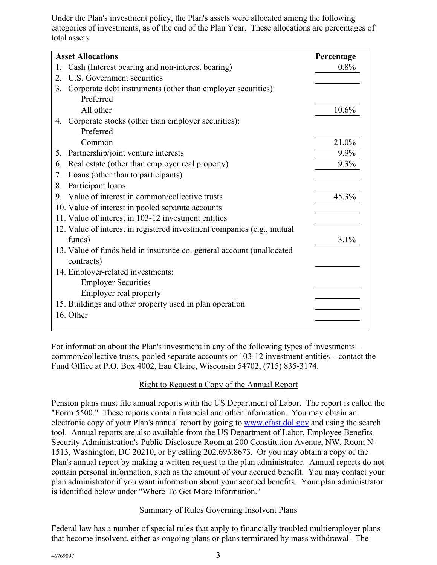Under the Plan's investment policy, the Plan's assets were allocated among the following categories of investments, as of the end of the Plan Year. These allocations are percentages of total assets:

| <b>Asset Allocations</b>                                               | Percentage |
|------------------------------------------------------------------------|------------|
| Cash (Interest bearing and non-interest bearing)<br>1.                 | 0.8%       |
| U.S. Government securities<br>2.                                       |            |
| Corporate debt instruments (other than employer securities):<br>3.     |            |
| Preferred                                                              |            |
| All other                                                              | 10.6%      |
| Corporate stocks (other than employer securities):<br>4.               |            |
| Preferred                                                              |            |
| Common                                                                 | 21.0%      |
| Partnership/joint venture interests<br>5.                              | 9.9%       |
| Real estate (other than employer real property)<br>6.                  | 9.3%       |
| Loans (other than to participants)<br>7.                               |            |
| Participant loans<br>8.                                                |            |
| 9. Value of interest in common/collective trusts                       | 45.3%      |
| 10. Value of interest in pooled separate accounts                      |            |
| 11. Value of interest in 103-12 investment entities                    |            |
| 12. Value of interest in registered investment companies (e.g., mutual |            |
| funds)                                                                 | $3.1\%$    |
| 13. Value of funds held in insurance co. general account (unallocated  |            |
| contracts)                                                             |            |
| 14. Employer-related investments:                                      |            |
| <b>Employer Securities</b>                                             |            |
| Employer real property                                                 |            |
| 15. Buildings and other property used in plan operation                |            |
| 16. Other                                                              |            |
|                                                                        |            |

For information about the Plan's investment in any of the following types of investments– common/collective trusts, pooled separate accounts or 103-12 investment entities – contact the Fund Office at P.O. Box 4002, Eau Claire, Wisconsin 54702, (715) 835-3174.

# Right to Request a Copy of the Annual Report

Pension plans must file annual reports with the US Department of Labor. The report is called the "Form 5500." These reports contain financial and other information. You may obtain an electronic copy of your Plan's annual report by going to www.efast.dol.gov and using the search tool. Annual reports are also available from the US Department of Labor, Employee Benefits Security Administration's Public Disclosure Room at 200 Constitution Avenue, NW, Room N-1513, Washington, DC 20210, or by calling 202.693.8673. Or you may obtain a copy of the Plan's annual report by making a written request to the plan administrator. Annual reports do not contain personal information, such as the amount of your accrued benefit. You may contact your plan administrator if you want information about your accrued benefits. Your plan administrator is identified below under "Where To Get More Information."

#### Summary of Rules Governing Insolvent Plans

Federal law has a number of special rules that apply to financially troubled multiemployer plans that become insolvent, either as ongoing plans or plans terminated by mass withdrawal. The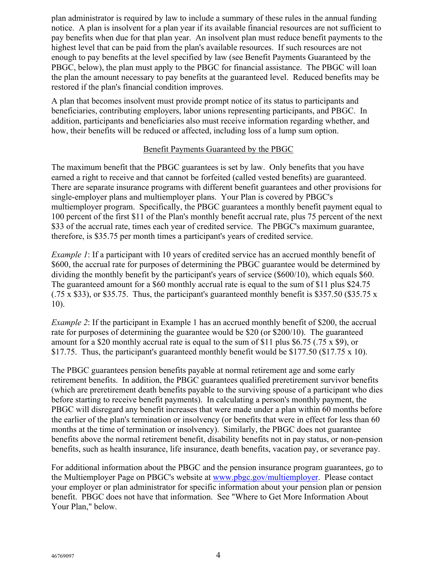plan administrator is required by law to include a summary of these rules in the annual funding notice. A plan is insolvent for a plan year if its available financial resources are not sufficient to pay benefits when due for that plan year. An insolvent plan must reduce benefit payments to the highest level that can be paid from the plan's available resources. If such resources are not enough to pay benefits at the level specified by law (see Benefit Payments Guaranteed by the PBGC, below), the plan must apply to the PBGC for financial assistance. The PBGC will loan the plan the amount necessary to pay benefits at the guaranteed level. Reduced benefits may be restored if the plan's financial condition improves.

A plan that becomes insolvent must provide prompt notice of its status to participants and beneficiaries, contributing employers, labor unions representing participants, and PBGC. In addition, participants and beneficiaries also must receive information regarding whether, and how, their benefits will be reduced or affected, including loss of a lump sum option.

#### Benefit Payments Guaranteed by the PBGC

The maximum benefit that the PBGC guarantees is set by law. Only benefits that you have earned a right to receive and that cannot be forfeited (called vested benefits) are guaranteed. There are separate insurance programs with different benefit guarantees and other provisions for single-employer plans and multiemployer plans. Your Plan is covered by PBGC's multiemployer program. Specifically, the PBGC guarantees a monthly benefit payment equal to 100 percent of the first \$11 of the Plan's monthly benefit accrual rate, plus 75 percent of the next \$33 of the accrual rate, times each year of credited service. The PBGC's maximum guarantee, therefore, is \$35.75 per month times a participant's years of credited service.

*Example 1*: If a participant with 10 years of credited service has an accrued monthly benefit of \$600, the accrual rate for purposes of determining the PBGC guarantee would be determined by dividing the monthly benefit by the participant's years of service (\$600/10), which equals \$60. The guaranteed amount for a \$60 monthly accrual rate is equal to the sum of \$11 plus \$24.75  $(.75 \times $33)$ , or \$35.75. Thus, the participant's guaranteed monthly benefit is \$357.50 (\$35.75 x 10).

*Example 2*: If the participant in Example 1 has an accrued monthly benefit of \$200, the accrual rate for purposes of determining the guarantee would be \$20 (or \$200/10). The guaranteed amount for a \$20 monthly accrual rate is equal to the sum of \$11 plus \$6.75 (.75 x \$9), or \$17.75. Thus, the participant's guaranteed monthly benefit would be \$177.50 (\$17.75 x 10).

The PBGC guarantees pension benefits payable at normal retirement age and some early retirement benefits. In addition, the PBGC guarantees qualified preretirement survivor benefits (which are preretirement death benefits payable to the surviving spouse of a participant who dies before starting to receive benefit payments). In calculating a person's monthly payment, the PBGC will disregard any benefit increases that were made under a plan within 60 months before the earlier of the plan's termination or insolvency (or benefits that were in effect for less than 60 months at the time of termination or insolvency). Similarly, the PBGC does not guarantee benefits above the normal retirement benefit, disability benefits not in pay status, or non-pension benefits, such as health insurance, life insurance, death benefits, vacation pay, or severance pay.

For additional information about the PBGC and the pension insurance program guarantees, go to the Multiemployer Page on PBGC's website at www.pbgc.gov/multiemployer. Please contact your employer or plan administrator for specific information about your pension plan or pension benefit. PBGC does not have that information. See "Where to Get More Information About Your Plan," below.